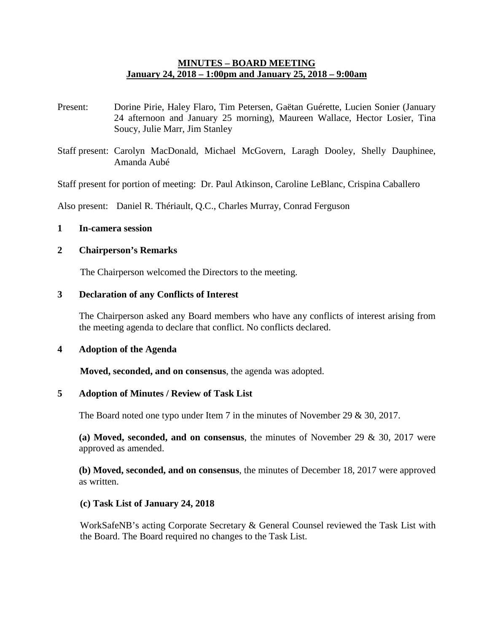## **MINUTES – BOARD MEETING January 24, 2018 – 1:00pm and January 25, 2018 – 9:00am**

- Present: Dorine Pirie, Haley Flaro, Tim Petersen, Gaëtan Guérette, Lucien Sonier (January 24 afternoon and January 25 morning), Maureen Wallace, Hector Losier, Tina Soucy, Julie Marr, Jim Stanley
- Staff present: Carolyn MacDonald, Michael McGovern, Laragh Dooley, Shelly Dauphinee, Amanda Aubé

Staff present for portion of meeting: Dr. Paul Atkinson, Caroline LeBlanc, Crispina Caballero

Also present: Daniel R. Thériault, Q.C., Charles Murray, Conrad Ferguson

## **1 In-camera session**

#### **2 Chairperson's Remarks**

The Chairperson welcomed the Directors to the meeting.

### **3 Declaration of any Conflicts of Interest**

The Chairperson asked any Board members who have any conflicts of interest arising from the meeting agenda to declare that conflict. No conflicts declared.

#### **4 Adoption of the Agenda**

**Moved, seconded, and on consensus**, the agenda was adopted.

#### **5 Adoption of Minutes / Review of Task List**

The Board noted one typo under Item 7 in the minutes of November 29 & 30, 2017.

**(a) Moved, seconded, and on consensus**, the minutes of November 29 & 30, 2017 were approved as amended.

**(b) Moved, seconded, and on consensus**, the minutes of December 18, 2017 were approved as written.

#### **(c) Task List of January 24, 2018**

WorkSafeNB's acting Corporate Secretary & General Counsel reviewed the Task List with the Board. The Board required no changes to the Task List.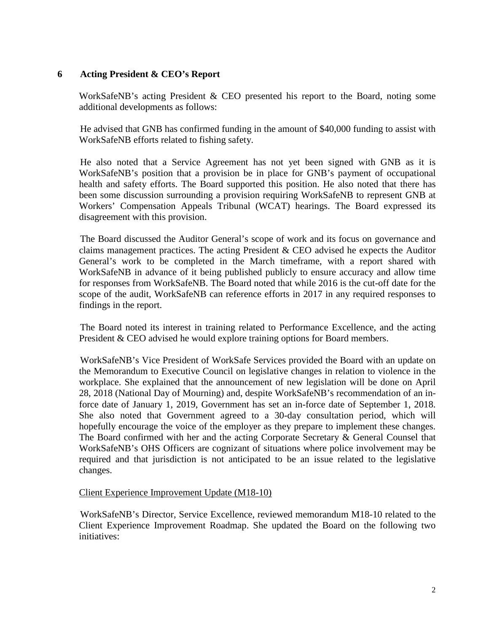## **6 Acting President & CEO's Report**

WorkSafeNB's acting President & CEO presented his report to the Board, noting some additional developments as follows:

He advised that GNB has confirmed funding in the amount of \$40,000 funding to assist with WorkSafeNB efforts related to fishing safety.

He also noted that a Service Agreement has not yet been signed with GNB as it is WorkSafeNB's position that a provision be in place for GNB's payment of occupational health and safety efforts. The Board supported this position. He also noted that there has been some discussion surrounding a provision requiring WorkSafeNB to represent GNB at Workers' Compensation Appeals Tribunal (WCAT) hearings. The Board expressed its disagreement with this provision.

The Board discussed the Auditor General's scope of work and its focus on governance and claims management practices. The acting President & CEO advised he expects the Auditor General's work to be completed in the March timeframe, with a report shared with WorkSafeNB in advance of it being published publicly to ensure accuracy and allow time for responses from WorkSafeNB. The Board noted that while 2016 is the cut-off date for the scope of the audit, WorkSafeNB can reference efforts in 2017 in any required responses to findings in the report.

The Board noted its interest in training related to Performance Excellence, and the acting President & CEO advised he would explore training options for Board members.

WorkSafeNB's Vice President of WorkSafe Services provided the Board with an update on the Memorandum to Executive Council on legislative changes in relation to violence in the workplace. She explained that the announcement of new legislation will be done on April 28, 2018 (National Day of Mourning) and, despite WorkSafeNB's recommendation of an inforce date of January 1, 2019, Government has set an in-force date of September 1, 2018. She also noted that Government agreed to a 30-day consultation period, which will hopefully encourage the voice of the employer as they prepare to implement these changes. The Board confirmed with her and the acting Corporate Secretary & General Counsel that WorkSafeNB's OHS Officers are cognizant of situations where police involvement may be required and that jurisdiction is not anticipated to be an issue related to the legislative changes.

### Client Experience Improvement Update (M18-10)

WorkSafeNB's Director, Service Excellence, reviewed memorandum M18-10 related to the Client Experience Improvement Roadmap. She updated the Board on the following two initiatives: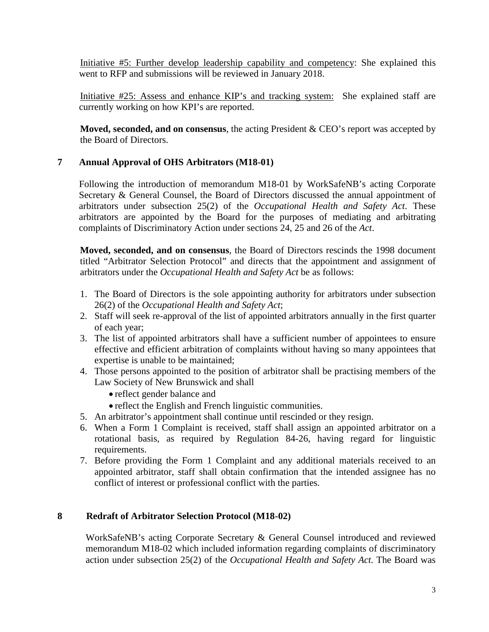Initiative #5: Further develop leadership capability and competency: She explained this went to RFP and submissions will be reviewed in January 2018.

Initiative #25: Assess and enhance KIP's and tracking system: She explained staff are currently working on how KPI's are reported.

**Moved, seconded, and on consensus**, the acting President & CEO's report was accepted by the Board of Directors.

# **7 Annual Approval of OHS Arbitrators (M18-01)**

Following the introduction of memorandum M18-01 by WorkSafeNB's acting Corporate Secretary & General Counsel, the Board of Directors discussed the annual appointment of arbitrators under subsection 25(2) of the *Occupational Health and Safety Act*. These arbitrators are appointed by the Board for the purposes of mediating and arbitrating complaints of Discriminatory Action under sections 24, 25 and 26 of the *Act*.

**Moved, seconded, and on consensus**, the Board of Directors rescinds the 1998 document titled "Arbitrator Selection Protocol" and directs that the appointment and assignment of arbitrators under the *Occupational Health and Safety Act* be as follows:

- 1. The Board of Directors is the sole appointing authority for arbitrators under subsection 26(2) of the *Occupational Health and Safety Act*;
- 2. Staff will seek re-approval of the list of appointed arbitrators annually in the first quarter of each year;
- 3. The list of appointed arbitrators shall have a sufficient number of appointees to ensure effective and efficient arbitration of complaints without having so many appointees that expertise is unable to be maintained;
- 4. Those persons appointed to the position of arbitrator shall be practising members of the Law Society of New Brunswick and shall
	- reflect gender balance and
	- reflect the English and French linguistic communities.
- 5. An arbitrator's appointment shall continue until rescinded or they resign.
- 6. When a Form 1 Complaint is received, staff shall assign an appointed arbitrator on a rotational basis, as required by Regulation 84-26, having regard for linguistic requirements.
- 7. Before providing the Form 1 Complaint and any additional materials received to an appointed arbitrator, staff shall obtain confirmation that the intended assignee has no conflict of interest or professional conflict with the parties.

# **8 Redraft of Arbitrator Selection Protocol (M18-02)**

WorkSafeNB's acting Corporate Secretary & General Counsel introduced and reviewed memorandum M18-02 which included information regarding complaints of discriminatory action under subsection 25(2) of the *Occupational Health and Safety Act*. The Board was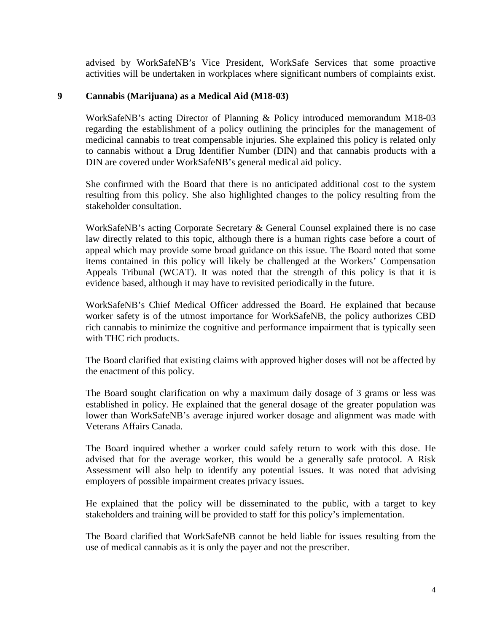advised by WorkSafeNB's Vice President, WorkSafe Services that some proactive activities will be undertaken in workplaces where significant numbers of complaints exist.

# **9 Cannabis (Marijuana) as a Medical Aid (M18-03)**

WorkSafeNB's acting Director of Planning & Policy introduced memorandum M18-03 regarding the establishment of a policy outlining the principles for the management of medicinal cannabis to treat compensable injuries. She explained this policy is related only to cannabis without a Drug Identifier Number (DIN) and that cannabis products with a DIN are covered under WorkSafeNB's general medical aid policy.

She confirmed with the Board that there is no anticipated additional cost to the system resulting from this policy. She also highlighted changes to the policy resulting from the stakeholder consultation.

WorkSafeNB's acting Corporate Secretary & General Counsel explained there is no case law directly related to this topic, although there is a human rights case before a court of appeal which may provide some broad guidance on this issue. The Board noted that some items contained in this policy will likely be challenged at the Workers' Compensation Appeals Tribunal (WCAT). It was noted that the strength of this policy is that it is evidence based, although it may have to revisited periodically in the future.

WorkSafeNB's Chief Medical Officer addressed the Board. He explained that because worker safety is of the utmost importance for WorkSafeNB, the policy authorizes CBD rich cannabis to minimize the cognitive and performance impairment that is typically seen with THC rich products.

The Board clarified that existing claims with approved higher doses will not be affected by the enactment of this policy.

The Board sought clarification on why a maximum daily dosage of 3 grams or less was established in policy. He explained that the general dosage of the greater population was lower than WorkSafeNB's average injured worker dosage and alignment was made with Veterans Affairs Canada.

The Board inquired whether a worker could safely return to work with this dose. He advised that for the average worker, this would be a generally safe protocol. A Risk Assessment will also help to identify any potential issues. It was noted that advising employers of possible impairment creates privacy issues.

He explained that the policy will be disseminated to the public, with a target to key stakeholders and training will be provided to staff for this policy's implementation.

The Board clarified that WorkSafeNB cannot be held liable for issues resulting from the use of medical cannabis as it is only the payer and not the prescriber.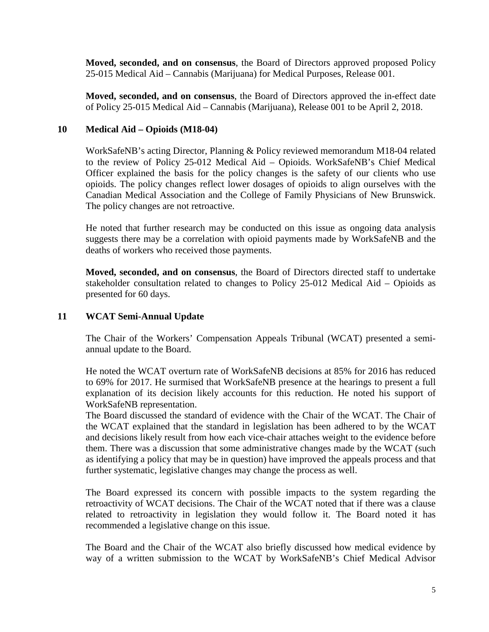**Moved, seconded, and on consensus**, the Board of Directors approved proposed Policy 25-015 Medical Aid – Cannabis (Marijuana) for Medical Purposes, Release 001.

**Moved, seconded, and on consensus**, the Board of Directors approved the in-effect date of Policy 25-015 Medical Aid – Cannabis (Marijuana), Release 001 to be April 2, 2018.

# **10 Medical Aid – Opioids (M18-04)**

WorkSafeNB's acting Director, Planning & Policy reviewed memorandum M18-04 related to the review of Policy 25-012 Medical Aid – Opioids. WorkSafeNB's Chief Medical Officer explained the basis for the policy changes is the safety of our clients who use opioids. The policy changes reflect lower dosages of opioids to align ourselves with the Canadian Medical Association and the College of Family Physicians of New Brunswick. The policy changes are not retroactive.

He noted that further research may be conducted on this issue as ongoing data analysis suggests there may be a correlation with opioid payments made by WorkSafeNB and the deaths of workers who received those payments.

**Moved, seconded, and on consensus**, the Board of Directors directed staff to undertake stakeholder consultation related to changes to Policy 25-012 Medical Aid – Opioids as presented for 60 days.

# **11 WCAT Semi-Annual Update**

The Chair of the Workers' Compensation Appeals Tribunal (WCAT) presented a semiannual update to the Board.

He noted the WCAT overturn rate of WorkSafeNB decisions at 85% for 2016 has reduced to 69% for 2017. He surmised that WorkSafeNB presence at the hearings to present a full explanation of its decision likely accounts for this reduction. He noted his support of WorkSafeNB representation.

The Board discussed the standard of evidence with the Chair of the WCAT. The Chair of the WCAT explained that the standard in legislation has been adhered to by the WCAT and decisions likely result from how each vice-chair attaches weight to the evidence before them. There was a discussion that some administrative changes made by the WCAT (such as identifying a policy that may be in question) have improved the appeals process and that further systematic, legislative changes may change the process as well.

The Board expressed its concern with possible impacts to the system regarding the retroactivity of WCAT decisions. The Chair of the WCAT noted that if there was a clause related to retroactivity in legislation they would follow it. The Board noted it has recommended a legislative change on this issue.

The Board and the Chair of the WCAT also briefly discussed how medical evidence by way of a written submission to the WCAT by WorkSafeNB's Chief Medical Advisor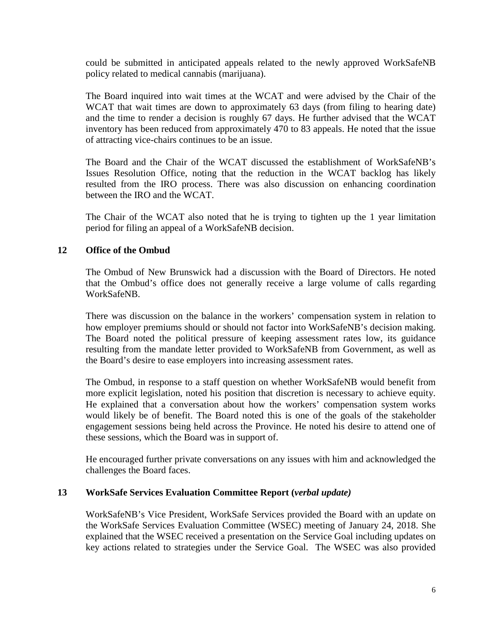could be submitted in anticipated appeals related to the newly approved WorkSafeNB policy related to medical cannabis (marijuana).

The Board inquired into wait times at the WCAT and were advised by the Chair of the WCAT that wait times are down to approximately 63 days (from filing to hearing date) and the time to render a decision is roughly 67 days. He further advised that the WCAT inventory has been reduced from approximately 470 to 83 appeals. He noted that the issue of attracting vice-chairs continues to be an issue.

The Board and the Chair of the WCAT discussed the establishment of WorkSafeNB's Issues Resolution Office, noting that the reduction in the WCAT backlog has likely resulted from the IRO process. There was also discussion on enhancing coordination between the IRO and the WCAT.

The Chair of the WCAT also noted that he is trying to tighten up the 1 year limitation period for filing an appeal of a WorkSafeNB decision.

# **12 Office of the Ombud**

The Ombud of New Brunswick had a discussion with the Board of Directors. He noted that the Ombud's office does not generally receive a large volume of calls regarding WorkSafeNB.

There was discussion on the balance in the workers' compensation system in relation to how employer premiums should or should not factor into WorkSafeNB's decision making. The Board noted the political pressure of keeping assessment rates low, its guidance resulting from the mandate letter provided to WorkSafeNB from Government, as well as the Board's desire to ease employers into increasing assessment rates.

The Ombud, in response to a staff question on whether WorkSafeNB would benefit from more explicit legislation, noted his position that discretion is necessary to achieve equity. He explained that a conversation about how the workers' compensation system works would likely be of benefit. The Board noted this is one of the goals of the stakeholder engagement sessions being held across the Province. He noted his desire to attend one of these sessions, which the Board was in support of.

He encouraged further private conversations on any issues with him and acknowledged the challenges the Board faces.

# **13 WorkSafe Services Evaluation Committee Report (***verbal update)*

WorkSafeNB's Vice President, WorkSafe Services provided the Board with an update on the WorkSafe Services Evaluation Committee (WSEC) meeting of January 24, 2018. She explained that the WSEC received a presentation on the Service Goal including updates on key actions related to strategies under the Service Goal. The WSEC was also provided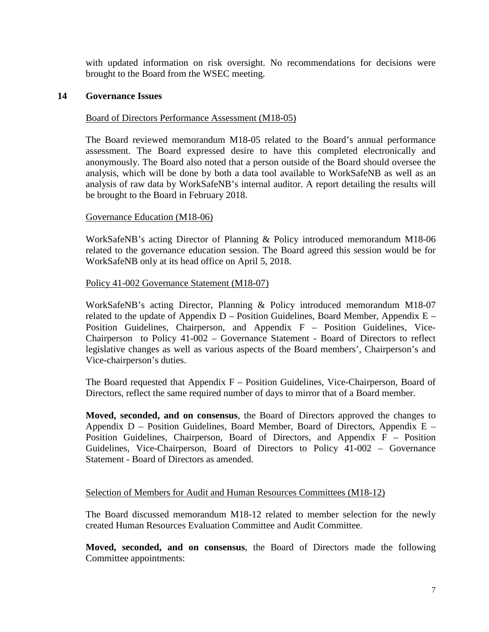with updated information on risk oversight. No recommendations for decisions were brought to the Board from the WSEC meeting.

## **14 Governance Issues**

## Board of Directors Performance Assessment (M18-05)

The Board reviewed memorandum M18-05 related to the Board's annual performance assessment. The Board expressed desire to have this completed electronically and anonymously. The Board also noted that a person outside of the Board should oversee the analysis, which will be done by both a data tool available to WorkSafeNB as well as an analysis of raw data by WorkSafeNB's internal auditor. A report detailing the results will be brought to the Board in February 2018.

# Governance Education (M18-06)

WorkSafeNB's acting Director of Planning & Policy introduced memorandum M18-06 related to the governance education session. The Board agreed this session would be for WorkSafeNB only at its head office on April 5, 2018.

### Policy 41-002 Governance Statement (M18-07)

WorkSafeNB's acting Director, Planning & Policy introduced memorandum M18-07 related to the update of Appendix  $D -$  Position Guidelines, Board Member, Appendix  $E -$ Position Guidelines, Chairperson, and Appendix F – Position Guidelines, Vice-Chairperson to Policy 41-002 – Governance Statement - Board of Directors to reflect legislative changes as well as various aspects of the Board members', Chairperson's and Vice-chairperson's duties.

The Board requested that Appendix  $F -$  Position Guidelines, Vice-Chairperson, Board of Directors, reflect the same required number of days to mirror that of a Board member.

**Moved, seconded, and on consensus**, the Board of Directors approved the changes to Appendix  $D$  – Position Guidelines, Board Member, Board of Directors, Appendix  $E$  – Position Guidelines, Chairperson, Board of Directors, and Appendix F – Position Guidelines, Vice-Chairperson, Board of Directors to Policy 41-002 – Governance Statement - Board of Directors as amended.

### Selection of Members for Audit and Human Resources Committees (M18-12)

The Board discussed memorandum M18-12 related to member selection for the newly created Human Resources Evaluation Committee and Audit Committee.

**Moved, seconded, and on consensus**, the Board of Directors made the following Committee appointments: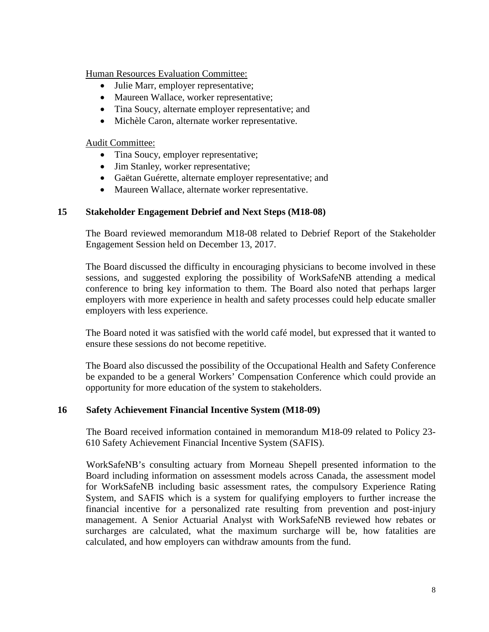Human Resources Evaluation Committee:

- Julie Marr, employer representative;
- Maureen Wallace, worker representative;
- Tina Soucy, alternate employer representative; and
- Michèle Caron, alternate worker representative.

Audit Committee:

- Tina Soucy, employer representative;
- Jim Stanley, worker representative;
- Gaëtan Guérette, alternate employer representative; and
- Maureen Wallace, alternate worker representative.

### **15 Stakeholder Engagement Debrief and Next Steps (M18-08)**

The Board reviewed memorandum M18-08 related to Debrief Report of the Stakeholder Engagement Session held on December 13, 2017.

The Board discussed the difficulty in encouraging physicians to become involved in these sessions, and suggested exploring the possibility of WorkSafeNB attending a medical conference to bring key information to them. The Board also noted that perhaps larger employers with more experience in health and safety processes could help educate smaller employers with less experience.

The Board noted it was satisfied with the world café model, but expressed that it wanted to ensure these sessions do not become repetitive.

The Board also discussed the possibility of the Occupational Health and Safety Conference be expanded to be a general Workers' Compensation Conference which could provide an opportunity for more education of the system to stakeholders.

### **16 Safety Achievement Financial Incentive System (M18-09)**

The Board received information contained in memorandum M18-09 related to Policy 23- 610 Safety Achievement Financial Incentive System (SAFIS).

WorkSafeNB's consulting actuary from Morneau Shepell presented information to the Board including information on assessment models across Canada, the assessment model for WorkSafeNB including basic assessment rates, the compulsory Experience Rating System, and SAFIS which is a system for qualifying employers to further increase the financial incentive for a personalized rate resulting from prevention and post-injury management. A Senior Actuarial Analyst with WorkSafeNB reviewed how rebates or surcharges are calculated, what the maximum surcharge will be, how fatalities are calculated, and how employers can withdraw amounts from the fund.